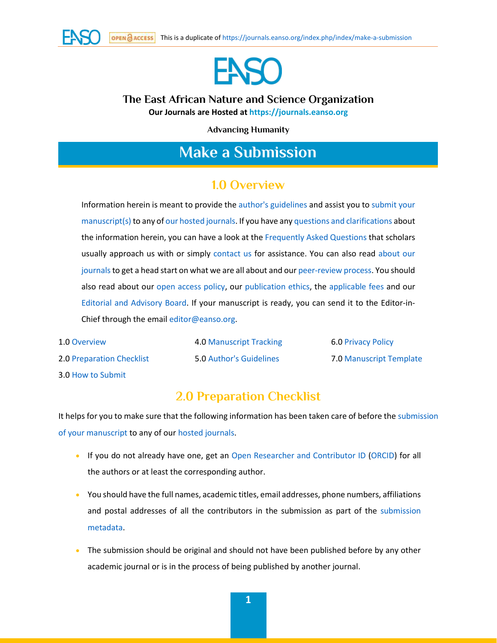



## **The East African Nature and Science Organization Our Journals are Hosted at [https://journals.eanso.org](https://journals.eanso.org/)**

**Advancing Humanity**

# **Make a Submission**

## **1.0 Overview**

Information herein is meant to provide the [author's guidelines](https://journals.eanso.org/index.php/index/make-a-submission#h240sk5km6skz1qpguru1fahtt7i7u2fd) and assist you to [submit your](https://journals.eanso.org/index.php/index/make-a-submission#h145sk5km5r6g13f32nl1i8ur5r143idq2)  [manuscript\(s\)](https://journals.eanso.org/index.php/index/make-a-submission#h145sk5km5r6g13f32nl1i8ur5r143idq2) to any o[f our hosted journals.](https://journals.eanso.org/) If you have an[y questions and clarifications](https://journals.eanso.org/index.php/index/faq) about the information herein, you can have a look at th[e Frequently Asked Questions](https://journals.eanso.org/index.php/index/faq) that scholars usually approach us with or simply [contact us](https://journals.eanso.org/index.php/index/contact-us) for assistance. You can also read [about our](https://journals.eanso.org/index.php/index/about-journals)  journals to get a head start on what we are all about and ou[r peer-review process.](https://journals.eanso.org/index.php/index/peer-review-process) You should also read about our [open access policy,](https://journals.eanso.org/index.php/index/open-access) our [publication ethics,](https://journals.eanso.org/index.php/index/ethics) the [applicable fees](https://journals.eanso.org/index.php/index/applicable-fee) and our Editorial [and Advisory](https://journals.eanso.org/index.php/index/editorial-board) Board. If your manuscript is ready, you can send it to the Editor-in-Chief through the emai[l editor@eanso.org.](mailto:editor@eanso.org)

1.[0 Overview](https://journals.eanso.org/index.php/index/make-a-submission#h49sk5km54c86rsnz81wlwinmcuytuc) 2.[0 Preparation Checklist](https://journals.eanso.org/index.php/index/make-a-submission#h98sk5km5i8dcadh85fmotq9lz2rd0) 3.[0 How to Submit](https://journals.eanso.org/index.php/index/make-a-submission#h145sk5km5r6g13f32nl1i8ur5r143idq2)

4.[0 Manuscript Tracking](https://journals.eanso.org/index.php/index/make-a-submission#h194sk5km61v91x95n6z18ljg3f1462qvr) 5.[0 Author's Guidelines](https://journals.eanso.org/index.php/index/make-a-submission#h240sk5km6skz1qpguru1fahtt7i7u2fd)

6.[0 Privacy Policy](https://journals.eanso.org/index.php/index/make-a-submission#h293sk5km79ol1ikns1zddy0sm10us3il) 7.[0 Manuscript Template](https://journals.eanso.org/public/site/EANSO-Journals-Submission-Template.doc)

## **2.0 Preparation Checklist**

It helps for you to make sure that the following information has been taken care of before the [submission](https://journals.eanso.org/index.php/index/make-a-submission#h145sk5km5r6g13f32nl1i8ur5r143idq2)  [of your manuscript](https://journals.eanso.org/index.php/index/make-a-submission#h145sk5km5r6g13f32nl1i8ur5r143idq2) to any of our [hosted journals.](https://journals.eanso.org/)

- If you do not already have one, get an [Open Researcher and Contributor ID](https://journals.eanso.org/index.php/index/make-a-submission#h851sk5kodzcgxzjwf712hiam017g0z) [\(ORCID\)](https://journals.eanso.org/index.php/index/make-a-submission#h851sk5kodzcgxzjwf712hiam017g0z) for all the authors or at least the corresponding author.
- You should have the full names, academic titles, email addresses, phone numbers, affiliations and postal addresses of all the contributors in the submission as part of the [submission](https://journals.eanso.org/index.php/index/make-a-submission#h1299sk5kon49n1mnfmli14b7jrqk1z0tv)  [metadata.](https://journals.eanso.org/index.php/index/make-a-submission#h1299sk5kon49n1mnfmli14b7jrqk1z0tv)
- The submission should be original and should not have been published before by any other academic journal or is in the process of being published by another journal.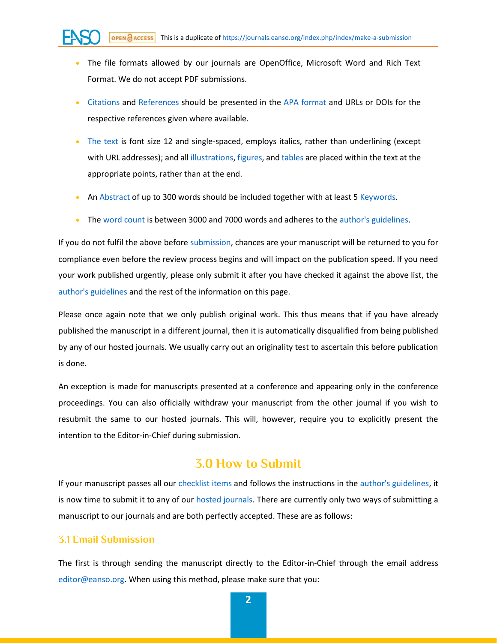- The file formats allowed by our journals are OpenOffice, Microsoft Word and Rich Text Format. We do not accept PDF submissions.
- [Citations](https://journals.eanso.org/index.php/index/make-a-submission#h1213sk5kol0ur1bij9ww1e43devzw2vz4) and [References](https://journals.eanso.org/index.php/index/make-a-submission#h1268sk5kolde31ohrm5i11pnaej1hylfbr) should be presented in the [APA format](https://journals.eanso.org/index.php/index/make-a-submission#h1268sk5kolde31ohrm5i11pnaej1hylfbr) and URLs or DOIs for the respective references given where available.
- [The text](https://journals.eanso.org/index.php/index/make-a-submission#h1185sk5koklml9ck7fu3iqhmc10pknkr) is font size 12 and single-spaced, employs italics, rather than underlining (except with URL addresses); and all [illustrations, figures,](https://journals.eanso.org/index.php/index/make-a-submission#h64sk5lppl6douuekguofhzsdyh25y) and [tables](https://journals.eanso.org/index.php/index/make-a-submission#h64sk5lppl6douuekguofhzsdyh25y) are placed within the text at the appropriate points, rather than at the end.
- A[n Abstract](https://journals.eanso.org/index.php/index/make-a-submission#h1021sk5koj1vodcw3161p2ynbakhuc00) of up to 300 words should be included together with at least [5 Keywords.](https://journals.eanso.org/index.php/index/make-a-submission#h1073sk5kojhz91ujn7sf1ckrir7117dc4s)
- The [word count](https://journals.eanso.org/index.php/index/make-a-submission#h1124sk5kojt7ghaysfg2sd0alxvtgfe) is between 3000 and 7000 words and adheres to the [author's guidelines.](https://journals.eanso.org/index.php/index/make-a-submission#h240sk5km6skz1qpguru1fahtt7i7u2fd)

If you do not fulfil the above before [submission,](https://journals.eanso.org/index.php/index/make-a-submission#h145sk5km5r6g13f32nl1i8ur5r143idq2) chances are your manuscript will be returned to you for compliance even before the review process begins and will impact on the publication speed. If you need your work published urgently, please only submit it after you have checked it against the above list, the [author's guidelines](https://journals.eanso.org/index.php/index/make-a-submission#h240sk5km6skz1qpguru1fahtt7i7u2fd) and the rest of the information on this page.

Please once again note that we only publish original work. This thus means that if you have already published the manuscript in a different journal, then it is automatically disqualified from being published by any of our hosted journals. We usually carry out an originality test to ascertain this before publication is done.

An exception is made for manuscripts presented at a conference and appearing only in the conference proceedings. You can also officially withdraw your manuscript from the other journal if you wish to resubmit the same to our hosted journals. This will, however, require you to explicitly present the intention to the Editor-in-Chief during submission.

## **3.0 How to Submit**

If your manuscript passes all ou[r checklist items](https://journals.eanso.org/index.php/index/make-a-submission#h98sk5km5i8dcadh85fmotq9lz2rd0) and follows the instructions in th[e author's guidelines,](https://journals.eanso.org/index.php/index/make-a-submission#h240sk5km6skz1qpguru1fahtt7i7u2fd) it is now time to submit it to any of our [hosted journals.](https://journals.eanso.org/) There are currently only two ways of submitting a manuscript to our journals and are both perfectly accepted. These are as follows:

#### **3.1 Email Submission**

The first is through sending the manuscript directly to the Editor-in-Chief through the email address [editor@eanso.org.](mailto:editor@eanso.org) When using this method, please make sure that you: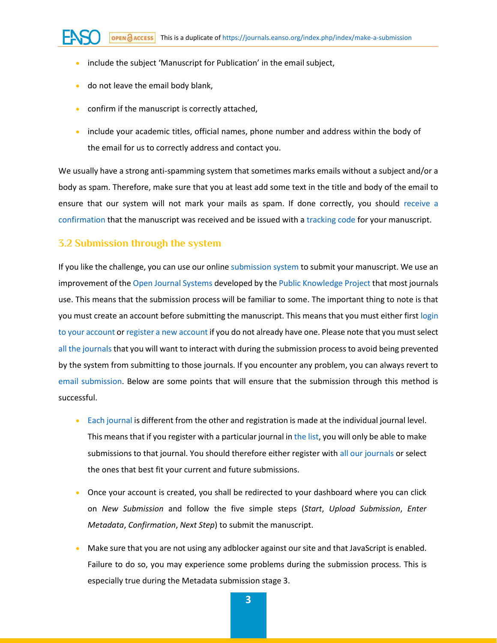- include the subject 'Manuscript for Publication' in the email subject,
- do not leave the email body blank,
- confirm if the manuscript is correctly attached,
- include your academic titles, official names, phone number and address within the body of the email for us to correctly address and contact you.

We usually have a strong anti-spamming system that sometimes marks emails without a subject and/or a body as spam. Therefore, make sure that you at least add some text in the title and body of the email to ensure that our system will not mark your mails as spam. If done correctly, you should [receive a](https://journals.eanso.org/index.php/index/make-a-submission#h1567sk5kp1w6c1ndchuj3nif1xatldu4)  [confirmation](https://journals.eanso.org/index.php/index/make-a-submission#h1567sk5kp1w6c1ndchuj3nif1xatldu4) that the manuscript was received and be issued with a [tracking code](https://journals.eanso.org/index.php/index/make-a-submission#h194sk5km61v91x95n6z18ljg3f1462qvr) for your manuscript.

### **3.2 Submission through the system**

If you like the challenge, you can use our onlin[e submission system](https://journals.eanso.org/index.php/index/login) to submit your manuscript. We use an improvement of the [Open Journal Systems](https://pkp.sfu.ca/ojs/) developed by th[e Public Knowledge Project](https://pkp.sfu.ca/) that most journals use. This means that the submission process will be familiar to some. The important thing to note is that you must create an account before submitting the manuscript. This means that you must either first [login](https://journals.eanso.org/index.php/index/login)  [to your account](https://journals.eanso.org/index.php/index/login) o[r register a new account](https://journals.eanso.org/index.php/index/user/register?source=) if you do not already have one. Please note that you must select all the journals that you will want to interact with during the submission process to avoid being prevented by the system from submitting to those journals. If you encounter any problem, you can always revert to [email submission.](https://journals.eanso.org/index.php/index/make-a-submission#h393sk5lq0ufj1f9povf1f47qpc12fjo5f) Below are some points that will ensure that the submission through this method is successful.

- [Each journal](https://journals.eanso.org/) is different from the other and registration is made at the individual journal level. This means that if you register with a particular journal i[n the list,](https://journals.eanso.org/) you will only be able to make submissions to that journal. You should therefore either register wit[h all our journals](https://journals.eanso.org/) or select the ones that best fit your current and future submissions.
- Once your account is created, you shall be redirected to your dashboard where you can click on *New Submission* and follow the five simple steps (*Start*, *Upload Submission*, *Enter Metadata*, *Confirmation*, *Next Step*) to submit the manuscript.
- Make sure that you are not using any adblocker against our site and that JavaScript is enabled. Failure to do so, you may experience some problems during the submission process. This is especially true during the Metadata submission stage 3.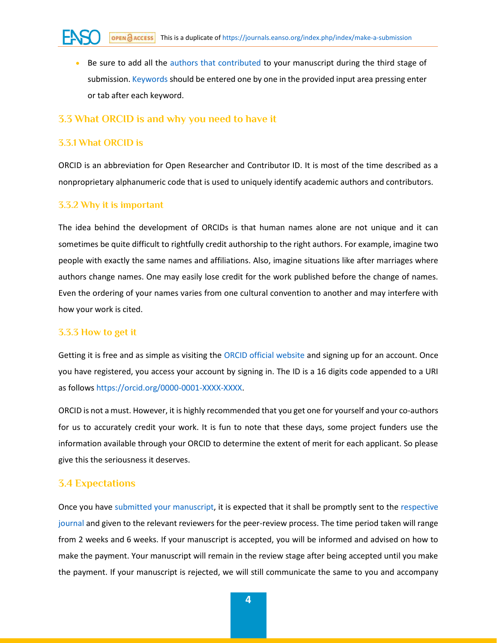• Be sure to add all the [authors that contributed](https://journals.eanso.org/index.php/index/make-a-submission#h442sk5lq4ayo1o3a90w10833za22k0j9) to your manuscript during the third stage of submission. [Keywords](https://journals.eanso.org/index.php/index/make-a-submission#h1073sk5kojhz91ujn7sf1ckrir7117dc4s) should be entered one by one in the provided input area pressing enter or tab after each keyword.

#### **3.3 What ORCID is and why you need to have it**

#### **3.3.1 What ORCID is**

ORCID is an abbreviation for Open Researcher and Contributor ID. It is most of the time described as a nonproprietary alphanumeric code that is used to uniquely identify academic authors and contributors.

#### **3.3.2 Why it is important**

The idea behind the development of ORCIDs is that human names alone are not unique and it can sometimes be quite difficult to rightfully credit authorship to the right authors. For example, imagine two people with exactly the same names and affiliations. Also, imagine situations like after marriages where authors change names. One may easily lose credit for the work published before the change of names. Even the ordering of your names varies from one cultural convention to another and may interfere with how your work is cited.

#### **3.3.3 How to get it**

Getting it is free and as simple as visiting the [ORCID official website](https://orcid.org/) and signing up for an account. Once you have registered, you access your account by signing in. The ID is a 16 digits code appended to a URI as follow[s https://orcid.org/0000-0001-XXXX-XXXX.](https://orcid.org/0000-0001-XXXX-XXXX)

ORCID is not a must. However, it is highly recommended that you get one for yourself and your co-authors for us to accurately credit your work. It is fun to note that these days, some project funders use the information available through your ORCID to determine the extent of merit for each applicant. So please give this the seriousness it deserves.

#### **3.4 Expectations**

Once you have [submitted your manuscript,](https://journals.eanso.org/index.php/index/make-a-submission#h145sk5km5r6g13f32nl1i8ur5r143idq2) it is expected that it shall be promptly sent to the [respective](https://journals.eanso.org/)  [journal](https://journals.eanso.org/) and given to the relevant reviewers for the peer-review process. The time period taken will range from 2 weeks and 6 weeks. If your manuscript is accepted, you will be informed and advised on how to make the payment. Your manuscript will remain in the review stage after being accepted until you make the payment. If your manuscript is rejected, we will still communicate the same to you and accompany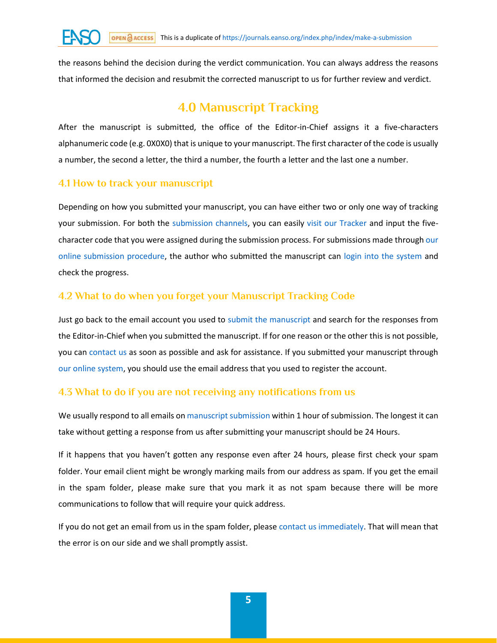the reasons behind the decision during the verdict communication. You can always address the reasons that informed the decision and resubmit the corrected manuscript to us for further review and verdict.

# **4.0 Manuscript Tracking**

After the manuscript is submitted, the office of the Editor-in-Chief assigns it a five-characters alphanumeric code (e.g. 0X0X0) that is unique to your manuscript. The first character of the code is usually a number, the second a letter, the third a number, the fourth a letter and the last one a number.

## **4.1 How to track your manuscript**

Depending on how you submitted your manuscript, you can have either two or only one way of tracking your submission. For both the [submission channels,](https://journals.eanso.org/index.php/index/make-a-submission#h145sk5km5r6g13f32nl1i8ur5r143idq2) you can easily [visit our Tracker](https://tracker.eanso.org/) and input the fivecharacter code that you were assigned during the submission process. For submissions made throug[h our](https://journals.eanso.org/index.php/index/make-a-submission#h1688sk5kpfhhndw274k5rlzyndbvz8s)  [online submission procedure,](https://journals.eanso.org/index.php/index/make-a-submission#h1688sk5kpfhhndw274k5rlzyndbvz8s) the author who submitted the manuscript can [login into the system](https://journals.eanso.org/index.php/index/login) and check the progress.

## **4.2 What to do when you forget your Manuscript Tracking Code**

Just go back to the email account you used to [submit the manuscript](https://journals.eanso.org/index.php/index/make-a-submission#h145sk5km5r6g13f32nl1i8ur5r143idq2) and search for the responses from the Editor-in-Chief when you submitted the manuscript. If for one reason or the other this is not possible, you can [contact us](https://journals.eanso.org/index.php/index/contact-us) as soon as possible and ask for assistance. If you submitted your manuscript through [our online system,](https://journals.eanso.org/index.php/index/make-a-submission#h1688sk5kpfhhndw274k5rlzyndbvz8s) you should use the email address that you used to register the account.

## **4.3 What to do if you are not receiving any notifications from us**

We usually respond to all emails o[n manuscript submission](https://journals.eanso.org/index.php/index/make-a-submission#h145sk5km5r6g13f32nl1i8ur5r143idq2) within 1 hour of submission. The longest it can take without getting a response from us after submitting your manuscript should be 24 Hours.

If it happens that you haven't gotten any response even after 24 hours, please first check your spam folder. Your email client might be wrongly marking mails from our address as spam. If you get the email in the spam folder, please make sure that you mark it as not spam because there will be more communications to follow that will require your quick address.

If you do not get an email from us in the spam folder, pleas[e contact us immediately.](https://journals.eanso.org/index.php/index/contact-us) That will mean that the error is on our side and we shall promptly assist.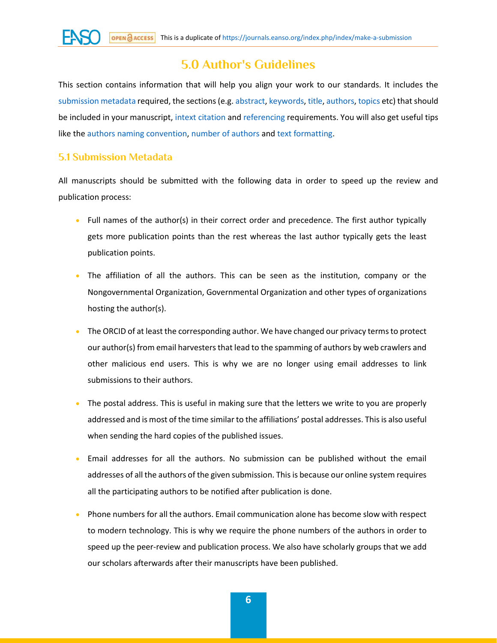

## **5.0 Author's Guidelines**

This section contains information that will help you align your work to our standards. It includes the [submission metadata](https://journals.eanso.org/index.php/index/make-a-submission#h1299sk5kon49n1mnfmli14b7jrqk1z0tv) required, the sections (e.g[. abstract,](https://journals.eanso.org/index.php/index/make-a-submission#h1021sk5koj1vodcw3161p2ynbakhuc00) [keywords,](https://journals.eanso.org/index.php/index/make-a-submission#h1073sk5kojhz91ujn7sf1ckrir7117dc4s) [title, authors,](https://journals.eanso.org/index.php/index/make-a-submission#h566sk5lrkbxd1y7ssedg0sjo8pndaqh) [topics](https://journals.eanso.org/index.php/index/make-a-submission#h598sk5lrkvx3pga0xf1k1xk9ijgvc7v) etc) that should be included in your manuscript[, intext citation](https://journals.eanso.org/index.php/index/make-a-submission#h1213sk5kol0ur1bij9ww1e43devzw2vz4) and [referencing](https://journals.eanso.org/index.php/index/make-a-submission#h1268sk5kolde31ohrm5i11pnaej1hylfbr) requirements. You will also get useful tips like th[e authors naming convention,](https://journals.eanso.org/index.php/index/make-a-submission#h654sk5lrorh1px4mu31v8x3pj1stg9mb) [number of authors](https://journals.eanso.org/index.php/index/make-a-submission#h442sk5lq4ayo1o3a90w10833za22k0j9) an[d text formatting.](https://journals.eanso.org/index.php/index/make-a-submission#h1185sk5koklml9ck7fu3iqhmc10pknkr)

## **5.1 Submission Metadata**

All manuscripts should be submitted with the following data in order to speed up the review and publication process:

- Full names of the author(s) in their correct order and precedence. The first author typically gets more publication points than the rest whereas the last author typically gets the least publication points.
- The affiliation of all the authors. This can be seen as the institution, company or the Nongovernmental Organization, Governmental Organization and other types of organizations hosting the author(s).
- The ORCID of at least the corresponding author. We have changed our privacy terms to protect our author(s) from email harvesters that lead to the spamming of authors by web crawlers and other malicious end users. This is why we are no longer using email addresses to link submissions to their authors.
- The postal address. This is useful in making sure that the letters we write to you are properly addressed and is most of the time similar to the affiliations' postal addresses. This is also useful when sending the hard copies of the published issues.
- Email addresses for all the authors. No submission can be published without the email addresses of all the authors of the given submission. This is because our online system requires all the participating authors to be notified after publication is done.
- Phone numbers for all the authors. Email communication alone has become slow with respect to modern technology. This is why we require the phone numbers of the authors in order to speed up the peer-review and publication process. We also have scholarly groups that we add our scholars afterwards after their manuscripts have been published.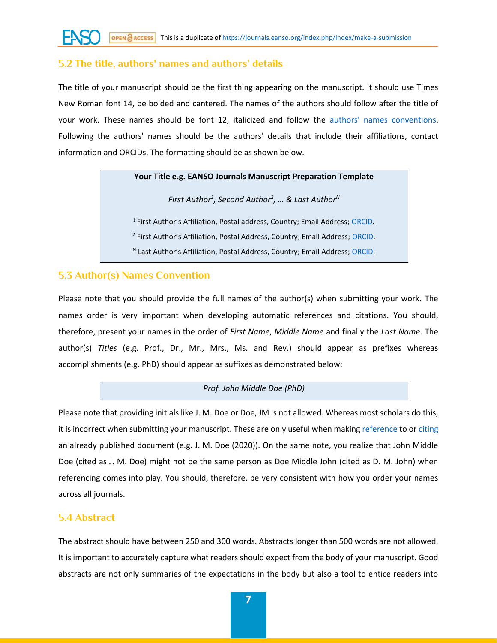### **5.2 The title, authors' names and authors' details**

The title of your manuscript should be the first thing appearing on the manuscript. It should use Times New Roman font 14, be bolded and cantered. The names of the authors should follow after the title of your work. These names should be font 12, italicized and follow the [authors' names conventions.](https://journals.eanso.org/index.php/index/make-a-submission#h654sk5lrorh1px4mu31v8x3pj1stg9mb) Following the authors' names should be the authors' details that include their affiliations, contact information and ORCIDs. The formatting should be as shown below.

#### **Your Title e.g. EANSO Journals Manuscript Preparation Template**

*First Author<sup>1</sup> , Second Author<sup>2</sup> , … & Last Author<sup>N</sup>*

<sup>1</sup> First Author's Affiliation, Postal address, Country; Email Address; [ORCID.](https://journals.eanso.org/index.php/index/make-a-submission#h851sk5kodzcgxzjwf712hiam017g0z) <sup>2</sup> First Author's Affiliation, Postal Address, Country; Email Address; [ORCID.](https://journals.eanso.org/index.php/index/make-a-submission#h851sk5kodzcgxzjwf712hiam017g0z) N Last Author's Affiliation, Postal Address, Country; Email Address; [ORCID.](https://journals.eanso.org/index.php/index/make-a-submission#h851sk5kodzcgxzjwf712hiam017g0z)

### **5.3 Author(s) Names Convention**

Please note that you should provide the full names of the author(s) when submitting your work. The names order is very important when developing automatic references and citations. You should, therefore, present your names in the order of *First Name*, *Middle Name* and finally the *Last Name*. The author(s) *Titles* (e.g. Prof., Dr., Mr., Mrs., Ms. and Rev.) should appear as prefixes whereas accomplishments (e.g. PhD) should appear as suffixes as demonstrated below:

#### *Prof. John Middle Doe (PhD)*

Please note that providing initials like J. M. Doe or Doe, JM is not allowed. Whereas most scholars do this, it is incorrect when submitting your manuscript. These are only useful when making [reference](https://journals.eanso.org/index.php/index/make-a-submission#h1268sk5kolde31ohrm5i11pnaej1hylfbr) to o[r citing](https://journals.eanso.org/index.php/index/make-a-submission#h1213sk5kol0ur1bij9ww1e43devzw2vz4) an already published document (e.g. J. M. Doe (2020)). On the same note, you realize that John Middle Doe (cited as J. M. Doe) might not be the same person as Doe Middle John (cited as D. M. John) when referencing comes into play. You should, therefore, be very consistent with how you order your names across all journals.

### **5.4 Abstract**

The abstract should have between 250 and 300 words. Abstracts longer than 500 words are not allowed. It is important to accurately capture what readers should expect from the body of your manuscript. Good abstracts are not only summaries of the expectations in the body but also a tool to entice readers into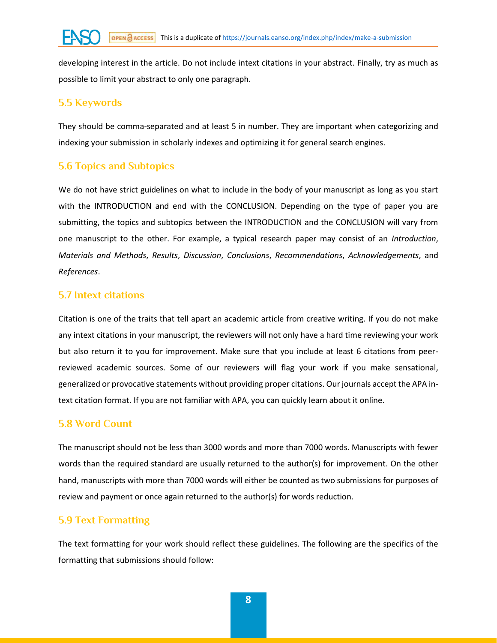developing interest in the article. Do not include intext citations in your abstract. Finally, try as much as possible to limit your abstract to only one paragraph.

## **5.5 Keywords**

They should be comma-separated and at least 5 in number. They are important when categorizing and indexing your submission in scholarly indexes and optimizing it for general search engines.

## **5.6 Topics and Subtopics**

We do not have strict guidelines on what to include in the body of your manuscript as long as you start with the INTRODUCTION and end with the CONCLUSION. Depending on the type of paper you are submitting, the topics and subtopics between the INTRODUCTION and the CONCLUSION will vary from one manuscript to the other. For example, a typical research paper may consist of an *Introduction*, *Materials and Methods*, *Results*, *Discussion*, *Conclusions*, *Recommendations*, *Acknowledgements*, and *References*.

## **5.7 Intext citations**

Citation is one of the traits that tell apart an academic article from creative writing. If you do not make any intext citations in your manuscript, the reviewers will not only have a hard time reviewing your work but also return it to you for improvement. Make sure that you include at least 6 citations from peerreviewed academic sources. Some of our reviewers will flag your work if you make sensational, generalized or provocative statements without providing proper citations. Our journals accept the APA intext citation format. If you are not familiar with APA, you can quickly learn about it online.

## **5.8 Word Count**

The manuscript should not be less than 3000 words and more than 7000 words. Manuscripts with fewer words than the required standard are usually returned to the author(s) for improvement. On the other hand, manuscripts with more than 7000 words will either be counted as two submissions for purposes of review and payment or once again returned to the author(s) for words reduction.

## **5.9 Text Formatting**

The text formatting for your work should reflect these guidelines. The following are the specifics of the formatting that submissions should follow: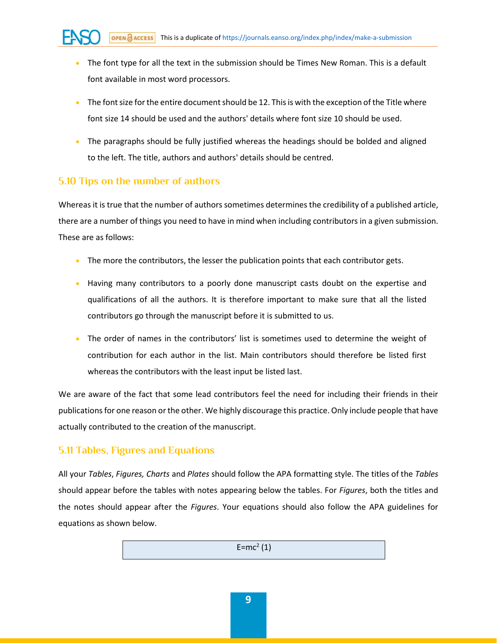- The font type for all the text in the submission should be Times New Roman. This is a default font available in most word processors.
- The font size for the entire document should be 12. This is with the exception of the Title where font size 14 should be used and the authors' details where font size 10 should be used.
- The paragraphs should be fully justified whereas the headings should be bolded and aligned to the left. The title, authors and authors' details should be centred.

### **5.10 Tips on the number of authors**

Whereas it is true that the number of authors sometimes determines the credibility of a published article, there are a number of things you need to have in mind when including contributors in a given submission. These are as follows:

- The more the contributors, the lesser the publication points that each contributor gets.
- Having many contributors to a poorly done manuscript casts doubt on the expertise and qualifications of all the authors. It is therefore important to make sure that all the listed contributors go through the manuscript before it is submitted to us.
- The order of names in the contributors' list is sometimes used to determine the weight of contribution for each author in the list. Main contributors should therefore be listed first whereas the contributors with the least input be listed last.

We are aware of the fact that some lead contributors feel the need for including their friends in their publications for one reason or the other. We highly discourage this practice. Only include people that have actually contributed to the creation of the manuscript.

## **5.11 Tables, Figures and Equations**

All your *Tables*, *Figures, Charts* and *Plates* should follow the APA formatting style. The titles of the *Tables* should appear before the tables with notes appearing below the tables. For *Figures*, both the titles and the notes should appear after the *Figures*. Your equations should also follow the APA guidelines for equations as shown below.

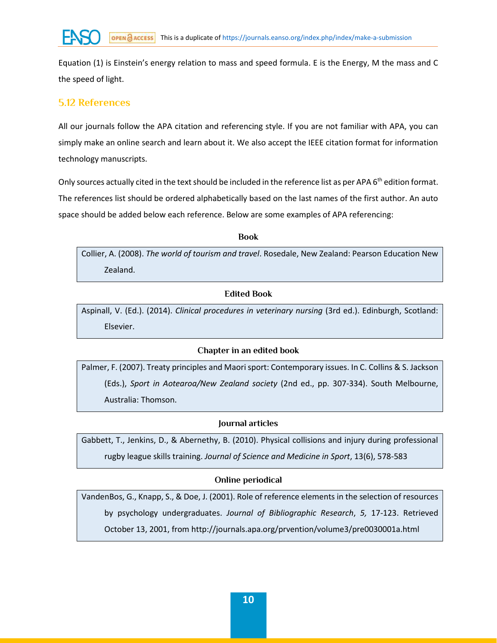Equation (1) is Einstein's energy relation to mass and speed formula. E is the Energy, M the mass and C the speed of light.

### **5.12 References**

All our journals follow the APA citation and referencing style. If you are not familiar with APA, you can simply make an online search and learn about it. We also accept the IEEE citation format for information technology manuscripts.

Only sources actually cited in the text should be included in the reference list as per APA 6<sup>th</sup> edition format. The references list should be ordered alphabetically based on the last names of the first author. An auto space should be added below each reference. Below are some examples of APA referencing:

**Book**

Collier, A. (2008). *The world of tourism and travel*. Rosedale, New Zealand: Pearson Education New Zealand.

#### **Edited Book**

Aspinall, V. (Ed.). (2014). *Clinical procedures in veterinary nursing* (3rd ed.). Edinburgh, Scotland: Elsevier.

#### **Chapter in an edited book**

Palmer, F. (2007). Treaty principles and Maori sport: Contemporary issues. In C. Collins & S. Jackson (Eds.), *Sport in Aotearoa/New Zealand society* (2nd ed., pp. 307-334). South Melbourne, Australia: Thomson.

#### **Journal articles**

Gabbett, T., Jenkins, D., & Abernethy, B. (2010). Physical collisions and injury during professional rugby league skills training. *Journal of Science and Medicine in Sport*, 13(6), 578-583

#### **Online periodical**

VandenBos, G., Knapp, S., & Doe, J. (2001). Role of reference elements in the selection of resources by psychology undergraduates. *Journal of Bibliographic Research*, *5,* 17-123. Retrieved October 13, 2001, from http://journals.apa.org/prvention/volume3/pre0030001a.html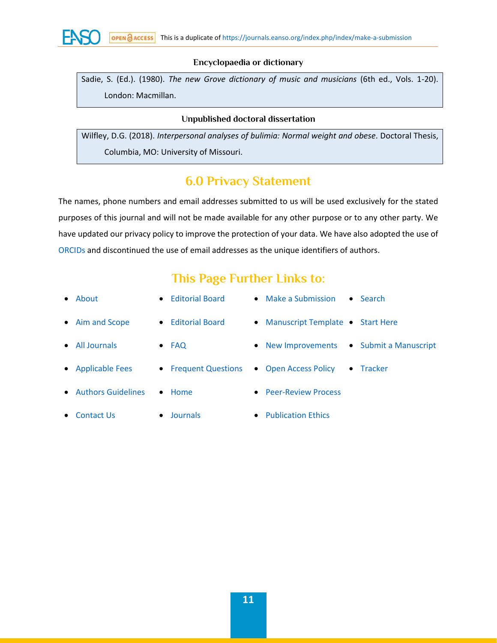

#### **Encyclopaedia or dictionary**

Sadie, S. (Ed.). (1980). *The new Grove dictionary of music and musicians* (6th ed., Vols. 1-20). London: Macmillan.

#### **Unpublished doctoral dissertation**

Wilfley, D.G. (2018). *Interpersonal analyses of bulimia: Normal weight and obese*. Doctoral Thesis, Columbia, MO: University of Missouri.

## **6.0 Privacy Statement**

The names, phone numbers and email addresses submitted to us will be used exclusively for the stated purposes of this journal and will not be made available for any other purpose or to any other party. We have updated our privacy policy to improve the protection of your data. We have also adopted the use of [ORCIDs](https://journals.eanso.org/index.php/index/make-a-submission#h851sk5kodzcgxzjwf712hiam017g0z) and discontinued the use of email addresses as the unique identifiers of authors.

## **This Page Further Links to:**

| $\bullet$ About         | • Editorial Board     | • Make a Submission<br>$\bullet$ Search     |
|-------------------------|-----------------------|---------------------------------------------|
| • Aim and Scope         | • Editorial Board     | • Manuscript Template • Start Here          |
| • All Journals          | $\bullet$ FAQ         | • Submit a Manuscript<br>• New Improvements |
| • Applicable Fees       | • Frequent Questions  | • Open Access Policy<br>$\bullet$ Tracker   |
| • Authors Guidelines    | $\bullet$ Home        | • Peer-Review Process                       |
| Contact Us<br>$\bullet$ | Journals<br>$\bullet$ | • Publication Ethics                        |